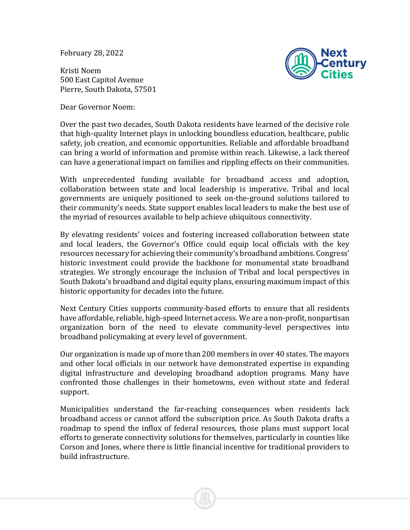February 28, 2022

Kristi Noem 500 East Capitol Avenue Pierre, South Dakota, 57501

Dear Governor Noem:



Over the past two decades, South Dakota residents have learned of the decisive role that high-quality Internet plays in unlocking boundless education, healthcare, public safety, job creation, and economic opportunities. Reliable and affordable broadband can bring a world of information and promise within reach. Likewise, a lack thereof can have a generational impact on families and rippling effects on their communities.

With unprecedented funding available for broadband access and adoption, collaboration between state and local leadership is imperative. Tribal and local governments are uniquely positioned to seek on-the-ground solutions tailored to their community's needs. State support enables local leaders to make the best use of the myriad of resources available to help achieve ubiquitous connectivity.

By elevating residents' voices and fostering increased collaboration between state and local leaders, the Governor's Office could equip local officials with the key resources necessary for achieving their community's broadband ambitions. Congress' historic investment could provide the backbone for monumental state broadband strategies. We strongly encourage the inclusion of Tribal and local perspectives in South Dakota's broadband and digital equity plans, ensuring maximum impact of this historic opportunity for decades into the future.

Next Century Cities supports community-based efforts to ensure that all residents have affordable, reliable, high-speed Internet access. We are a non-profit, nonpartisan organization born of the need to elevate community-level perspectives into broadband policymaking at every level of government.

Our organization is made up of more than 200 members in over 40 states. The mayors and other local officials in our network have demonstrated expertise in expanding digital infrastructure and developing broadband adoption programs. Many have confronted those challenges in their hometowns, even without state and federal support.

Municipalities understand the far-reaching consequences when residents lack broadband access or cannot afford the subscription price. As South Dakota drafts a roadmap to spend the influx of federal resources, those plans must support local efforts to generate connectivity solutions for themselves, particularly in counties like Corson and Jones, where there is little financial incentive for traditional providers to build infrastructure.